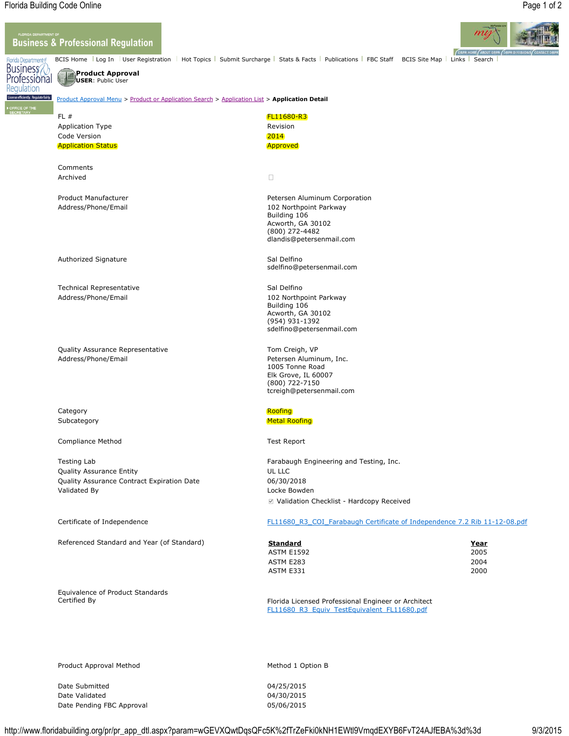## **Business & Professional Regulation**



BCIS Home Log In | User Registration | Hot Topics | Submit Surcharge | Stats & Facts | Publications | FBC Staff BCIS Site Map | Links | Search |

**OBPR HOME** 

**Product Approval USER**: Public User

## Product Approval Menu > Product or Application Search > Application List > **Application Detail**

| FL#<br><b>Application Type</b>             | <b>FL11680-R3</b><br>Revision              |
|--------------------------------------------|--------------------------------------------|
| Code Version                               | 2014                                       |
| <b>Application Status</b>                  | <b>Approved</b>                            |
| Comments                                   |                                            |
| Archived                                   | $\Box$                                     |
| <b>Product Manufacturer</b>                | Petersen Aluminum Corporation              |
| Address/Phone/Email                        | 102 Northpoint Parkway<br>Building 106     |
|                                            | Acworth, GA 30102                          |
|                                            | (800) 272-4482<br>dlandis@petersenmail.com |
|                                            |                                            |
| Authorized Signature                       | Sal Delfino                                |
|                                            | sdelfino@petersenmail.com                  |
| <b>Technical Representative</b>            | Sal Delfino                                |
| Address/Phone/Email                        | 102 Northpoint Parkway                     |
|                                            | Building 106<br>Acworth, GA 30102          |
|                                            | (954) 931-1392                             |
|                                            | sdelfino@petersenmail.com                  |
| Quality Assurance Representative           | Tom Creigh, VP                             |
| Address/Phone/Email                        | Petersen Aluminum, Inc.                    |
|                                            | 1005 Tonne Road<br>Elk Grove, IL 60007     |
|                                            | (800) 722-7150                             |
|                                            | tcreigh@petersenmail.com                   |
| Category                                   | Roofing                                    |
| Subcategory                                | <b>Metal Roofing</b>                       |
| <b>Compliance Method</b>                   | <b>Test Report</b>                         |
| <b>Testing Lab</b>                         | Farabaugh Engineering and Testing, Inc.    |
| Quality Assurance Entity                   | UL LLC                                     |
| Quality Assurance Contract Expiration Date | 06/30/2018                                 |
| Validated By                               | Locke Bowden                               |

Validation Checklist - Hardcopy Received

## Certificate of Independence FL11680\_R3\_COI\_Farabaugh Certificate of Independence 7.2 Rib 11-12-08.pdf

| Referenced Standard and Year (of Standard) | <b>Standard</b>   | <u>Year</u> |
|--------------------------------------------|-------------------|-------------|
|                                            | <b>ASTM E1592</b> | 2005        |
|                                            | ASTM E283         | 2004        |
|                                            | ASTM E331         | 2000        |

Certified By **Florida Licensed Professional Engineer or Architect** Florida Licensed Professional Engineer or Architect FL11680\_R3\_Equiv\_TestEquivalent\_FL11680.pdf

Product Approval Method Method 1 Option B

Equivalence of Product Standards

Date Submitted 04/25/2015 Date Validated 04/30/2015 Date Pending FBC Approval 05/06/2015